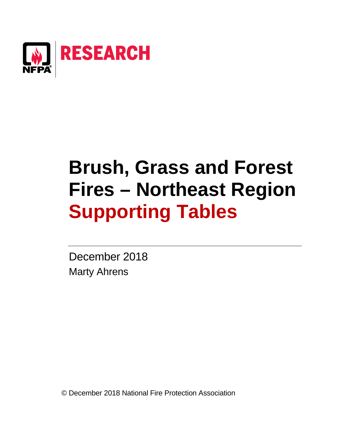

# **Brush, Grass and Forest Fires – Northeast Region Supporting Tables**

December 2018 Marty Ahrens

© December 2018 National Fire Protection Association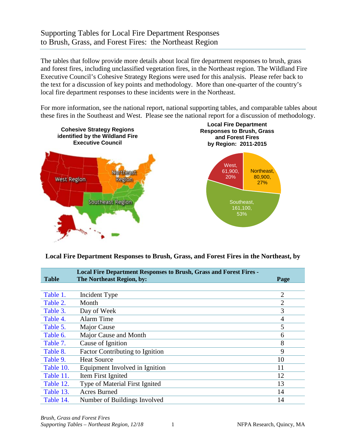## Supporting Tables for Local Fire Department Responses to Brush, Grass, and Forest Fires: the Northeast Region

The tables that follow provide more details about local fire department responses to brush, grass and forest fires, including unclassified vegetation fires, in the Northeast region. The Wildland Fire Executive Council's Cohesive Strategy Regions were used for this analysis. Please refer back to the text for a discussion of key points and methodology. More than one-quarter of the country's local fire department responses to these incidents were in the Northeast.

For more information, see the national report, national supporting tables, and comparable tables about these fires in the Southeast and West. Please see the national report for a discussion of methodology.



### **Local Fire Department Responses to Brush, Grass, and Forest Fires in the Northeast, by**

| <b>Table</b> | <b>Local Fire Department Responses to Brush, Grass and Forest Fires -</b><br>The Northeast Region, by: | Page           |
|--------------|--------------------------------------------------------------------------------------------------------|----------------|
|              |                                                                                                        |                |
| Table 1.     | Incident Type                                                                                          | $\overline{2}$ |
| Table 2.     | Month                                                                                                  | $\overline{2}$ |
| Table 3.     | Day of Week                                                                                            | 3              |
| Table 4.     | Alarm Time                                                                                             | 4              |
| Table 5.     | Major Cause                                                                                            | 5              |
| Table 6.     | Major Cause and Month                                                                                  | 6              |
| Table 7.     | Cause of Ignition                                                                                      | 8              |
| Table 8.     | <b>Factor Contributing to Ignition</b>                                                                 | 9              |
| Table 9.     | <b>Heat Source</b>                                                                                     | 10             |
| Table 10.    | Equipment Involved in Ignition                                                                         | 11             |
| Table 11.    | Item First Ignited                                                                                     | 12             |
| Table 12.    | Type of Material First Ignited                                                                         | 13             |
| Table 13.    | <b>Acres Burned</b>                                                                                    | 14             |
| Table 14.    | Number of Buildings Involved                                                                           | 14             |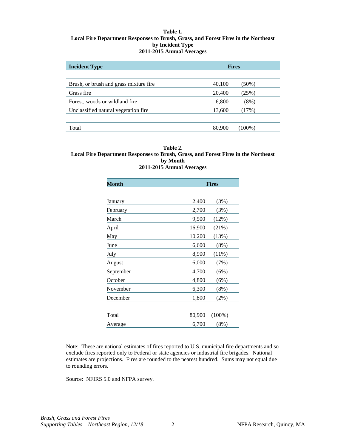#### <span id="page-2-0"></span>**Table 1. Local Fire Department Responses to Brush, Grass, and Forest Fires in the Northeast by Incident Type 2011-2015 Annual Averages**

| <b>Incident Type</b>                    | <b>Fires</b> |           |  |  |
|-----------------------------------------|--------------|-----------|--|--|
|                                         |              |           |  |  |
| Brush, or brush and grass mixture fire. | 40,100       | (50%)     |  |  |
| Grass fire                              | 20,400       | (25%)     |  |  |
| Forest, woods or wildland fire.         | 6,800        | $(8\%)$   |  |  |
| Unclassified natural vegetation fire    | 13,600       | (17%)     |  |  |
|                                         |              |           |  |  |
| Total                                   | 80,900       | $(100\%)$ |  |  |

#### **Table 2. Local Fire Department Responses to Brush, Grass, and Forest Fires in the Northeast by Month 2011-2015 Annual Averages**

| Month     |        | <b>Fires</b> |  |  |  |
|-----------|--------|--------------|--|--|--|
|           |        |              |  |  |  |
| January   | 2,400  | (3%)         |  |  |  |
| February  | 2,700  | (3%)         |  |  |  |
| March     | 9,500  | (12%)        |  |  |  |
| April     | 16,900 | (21%)        |  |  |  |
| May       | 10,200 | (13%)        |  |  |  |
| June      | 6,600  | (8%)         |  |  |  |
| July      | 8,900  | (11%)        |  |  |  |
| August    | 6,000  | (7%)         |  |  |  |
| September | 4,700  | (6%)         |  |  |  |
| October   | 4,800  | (6%)         |  |  |  |
| November  | 6,300  | $(8\%)$      |  |  |  |
| December  | 1,800  | $(2\%)$      |  |  |  |
|           |        |              |  |  |  |
| Total     | 80,900 | $(100\%)$    |  |  |  |
| Average   | 6,700  | $(8\%)$      |  |  |  |

Note: These are national estimates of fires reported to U.S. municipal fire departments and so exclude fires reported only to Federal or state agencies or industrial fire brigades. National estimates are projections. Fires are rounded to the nearest hundred. Sums may not equal due to rounding errors.

Source: NFIRS 5.0 and NFPA survey.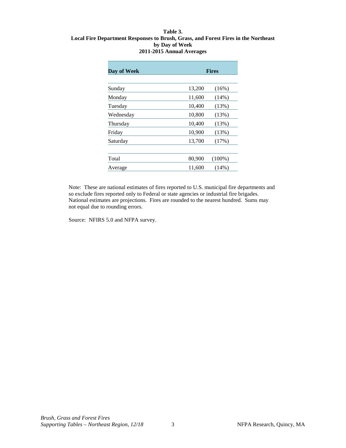#### <span id="page-3-0"></span>**Table 3. Local Fire Department Responses to Brush, Grass, and Forest Fires in the Northeast by Day of Week 2011-2015 Annual Averages**

| Day of Week |        | <b>Fires</b> |  |  |
|-------------|--------|--------------|--|--|
|             |        |              |  |  |
| Sunday      | 13,200 | (16%)        |  |  |
| Monday      | 11,600 | (14%)        |  |  |
| Tuesday     | 10,400 | (13%)        |  |  |
| Wednesday   | 10,800 | (13%)        |  |  |
| Thursday    | 10,400 | (13%)        |  |  |
| Friday      | 10,900 | (13%)        |  |  |
| Saturday    | 13,700 | (17%)        |  |  |
|             |        |              |  |  |
| Total       | 80,900 | $(100\%)$    |  |  |
| Average     | 11,600 | $(14\%)$     |  |  |

Note: These are national estimates of fires reported to U.S. municipal fire departments and so exclude fires reported only to Federal or state agencies or industrial fire brigades. National estimates are projections. Fires are rounded to the nearest hundred. Sums may not equal due to rounding errors.

Source: NFIRS 5.0 and NFPA survey.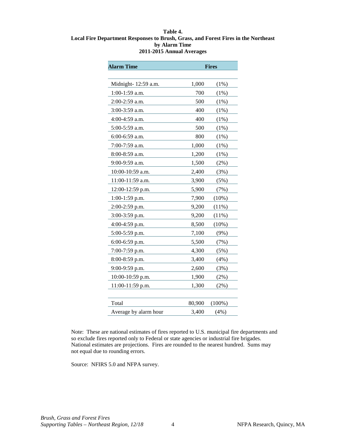#### <span id="page-4-0"></span>**Table 4. Local Fire Department Responses to Brush, Grass, and Forest Fires in the Northeast by Alarm Time 2011-2015 Annual Averages**

| <b>Alarm Time</b>     | <b>Fires</b> |           |  |  |
|-----------------------|--------------|-----------|--|--|
|                       |              |           |  |  |
| Midnight- 12:59 a.m.  | 1,000        | (1%)      |  |  |
| 1:00-1:59 a.m.        | 700          | (1%)      |  |  |
| 2:00-2:59 a.m.        | 500          | $(1\%)$   |  |  |
| 3:00-3:59 a.m.        | 400          | (1%)      |  |  |
| 4:00-4:59 a.m.        | 400          | $(1\%)$   |  |  |
| 5:00-5:59 a.m.        | 500          | (1%)      |  |  |
| 6:00-6:59 a.m.        | 800          | (1%)      |  |  |
| 7:00-7:59 a.m.        | 1,000        | (1%)      |  |  |
| 8:00-8:59 a.m.        | 1,200        | (1%)      |  |  |
| 9:00-9:59 a.m.        | 1,500        | $(2\%)$   |  |  |
| 10:00-10:59 a.m.      | 2,400        | (3%)      |  |  |
| 11:00-11:59 a.m.      | 3,900        | (5%)      |  |  |
| 12:00-12:59 p.m.      | 5,900        | (7%)      |  |  |
| 1:00-1:59 p.m.        | 7,900        | (10%)     |  |  |
| 2:00-2:59 p.m.        | 9,200        | (11%)     |  |  |
| 3:00-3:59 p.m.        | 9,200        | (11%)     |  |  |
| 4:00-4:59 p.m.        | 8,500        | (10%)     |  |  |
| 5:00-5:59 p.m.        | 7,100        | (9%)      |  |  |
| 6:00-6:59 p.m.        | 5,500        | (7%)      |  |  |
| 7:00-7:59 p.m.        | 4,300        | (5%)      |  |  |
| 8:00-8:59 p.m.        | 3,400        | (4%)      |  |  |
| 9:00-9:59 p.m.        | 2,600        | (3%)      |  |  |
| 10:00-10:59 p.m.      | 1,900        | $(2\%)$   |  |  |
| 11:00-11:59 p.m.      | 1,300        | $(2\%)$   |  |  |
|                       |              |           |  |  |
| Total                 | 80,900       | $(100\%)$ |  |  |
| Average by alarm hour | 3,400        | (4%)      |  |  |

Note: These are national estimates of fires reported to U.S. municipal fire departments and so exclude fires reported only to Federal or state agencies or industrial fire brigades. National estimates are projections. Fires are rounded to the nearest hundred. Sums may not equal due to rounding errors.

Source: NFIRS 5.0 and NFPA survey.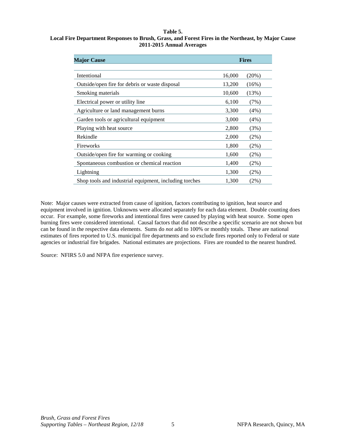#### **Table 5.**

#### <span id="page-5-0"></span>**Local Fire Department Responses to Brush, Grass, and Forest Fires in the Northeast, by Major Cause 2011-2015 Annual Averages**

| <b>Major Cause</b>                                     |        | <b>Fires</b> |  |  |  |
|--------------------------------------------------------|--------|--------------|--|--|--|
| Intentional                                            | 16,000 | $(20\%)$     |  |  |  |
| Outside/open fire for debris or waste disposal         | 13,200 | $(16\%)$     |  |  |  |
| Smoking materials                                      | 10,600 | (13%)        |  |  |  |
| Electrical power or utility line                       | 6,100  | (7%)         |  |  |  |
| Agriculture or land management burns                   | 3,300  | (4%)         |  |  |  |
| Garden tools or agricultural equipment                 | 3,000  | $(4\%)$      |  |  |  |
| Playing with heat source                               | 2,800  | (3%)         |  |  |  |
| Rekindle                                               | 2,000  | $(2\%)$      |  |  |  |
| Fireworks                                              | 1,800  | $(2\%)$      |  |  |  |
| Outside/open fire for warming or cooking               | 1,600  | $(2\%)$      |  |  |  |
| Spontaneous combustion or chemical reaction            | 1,400  | $(2\%)$      |  |  |  |
| Lightning                                              | 1,300  | $(2\%)$      |  |  |  |
| Shop tools and industrial equipment, including torches | 1,300  | $(2\%)$      |  |  |  |

Note: Major causes were extracted from cause of ignition, factors contributing to ignition, heat source and equipment involved in ignition. Unknowns were allocated separately for each data element. Double counting does occur. For example, some fireworks and intentional fires were caused by playing with heat source. Some open burning fires were considered intentional. Causal factors that did not describe a specific scenario are not shown but can be found in the respective data elements. Sums do *not* add to 100% or monthly totals. These are national estimates of fires reported to U.S. municipal fire departments and so exclude fires reported only to Federal or state agencies or industrial fire brigades. National estimates are projections. Fires are rounded to the nearest hundred.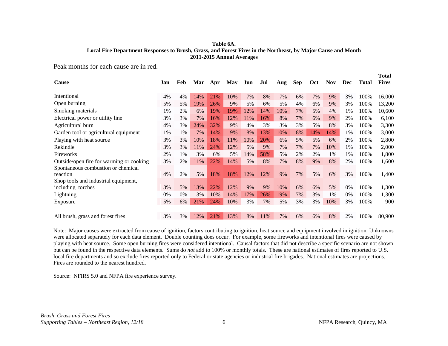#### **Table 6A. Local Fire Department Responses to Brush, Grass, and Forest Fires in the Northeast, by Major Cause and Month 2011-2015 Annual Averages**

<span id="page-6-0"></span>Peak months for each cause are in red.

| Cause                                    | Jan | Feb | Mar | Apr | May | Jun | Jul | Aug | Sep | <b>Oct</b> | <b>Nov</b> | Dec | <b>Total</b> | Total<br><b>Fires</b> |
|------------------------------------------|-----|-----|-----|-----|-----|-----|-----|-----|-----|------------|------------|-----|--------------|-----------------------|
|                                          |     |     |     |     |     |     |     |     |     |            |            |     |              |                       |
| Intentional                              | 4%  | 4%  | 14% | 21% | 10% | 7%  | 8%  | 7%  | 6%  | 7%         | 9%         | 3%  | 100%         | 16,000                |
| Open burning                             | 5%  | 5%  | 19% | 26% | 9%  | 5%  | 6%  | 5%  | 4%  | 6%         | 9%         | 3%  | 100%         | 13,200                |
| Smoking materials                        | 1%  | 2%  | 6%  | 19% | 19% | 12% | 14% | 10% | 7%  | 5%         | 4%         | 1%  | 100%         | 10,600                |
| Electrical power or utility line         | 3%  | 3%  | 7%  | 16% | 12% | 11% | 16% | 8%  | 7%  | 6%         | 9%         | 2%  | 100%         | 6,100                 |
| Agricultural burn                        | 4%  | 3%  | 24% | 32% | 9%  | 4%  | 3%  | 3%  | 3%  | 5%         | 8%         | 3%  | 100%         | 3,300                 |
| Garden tool or agricultural equipment    | 1%  | 1%  | 7%  | 14% | 9%  | 8%  | 13% | 10% | 8%  | 14%        | 14%        | 1%  | 100%         | 3,000                 |
| Playing with heat source                 | 3%  | 3%  | 10% | 18% | 11% | 10% | 20% | 6%  | 5%  | 5%         | 6%         | 2%  | 100%         | 2,800                 |
| Rekindle                                 | 3%  | 3%  | 11% | 24% | 12% | 5%  | 9%  | 7%  | 7%  | 7%         | 10%        | 1%  | 100%         | 2,000                 |
| Fireworks                                | 2%  | 1%  | 3%  | 6%  | 5%  | 14% | 58% | 5%  | 2%  | 2%         | 1%         | 1%  | 100%         | 1,800                 |
| Outside/open fire for warming or cooking | 3%  | 2%  | 11% | 22% | 14% | 5%  | 8%  | 7%  | 8%  | 9%         | 8%         | 2%  | 100%         | 1,600                 |
| Spontaneous combustion or chemical       |     |     |     |     |     |     |     |     |     |            |            |     |              |                       |
| reaction                                 | 4%  | 2%  | 5%  | 18% | 18% | 12% | 12% | 9%  | 7%  | 5%         | 6%         | 3%  | 100%         | 1,400                 |
| Shop tools and industrial equipment,     |     |     |     |     |     |     |     |     |     |            |            |     |              |                       |
| including torches                        | 3%  | 5%  | 13% | 22% | 12% | 9%  | 9%  | 10% | 6%  | 6%         | 5%         | 0%  | 100%         | 1,300                 |
| Lightning                                | 0%  | 0%  | 3%  | 10% | 14% | 17% | 26% | 19% | 7%  | 3%         | 1%         | 0%  | 100%         | 1,300                 |
| Exposure                                 | 5%  | 6%  | 21% | 24% | 10% | 3%  | 7%  | 5%  | 3%  | 3%         | 10%        | 3%  | 100%         | 900                   |
|                                          |     |     |     |     |     |     |     |     |     |            |            |     |              |                       |
| All brush, grass and forest fires        | 3%  | 3%  | 12% | 21% | 13% | 8%  | 11% | 7%  | 6%  | 6%         | 8%         | 2%  | 100%         | 80,900                |

Note: Major causes were extracted from cause of ignition, factors contributing to ignition, heat source and equipment involved in ignition. Unknowns were allocated separately for each data element. Double counting does occur. For example, some fireworks and intentional fires were caused by playing with heat source. Some open burning fires were considered intentional. Causal factors that did not describe a specific scenario are not shown but can be found in the respective data elements. Sums do *not* add to 100% or monthly totals. These are national estimates of fires reported to U.S. local fire departments and so exclude fires reported only to Federal or state agencies or industrial fire brigades. National estimates are projections. Fires are rounded to the nearest hundred.

Source: NFIRS 5.0 and NFPA fire experience survey.

**Total**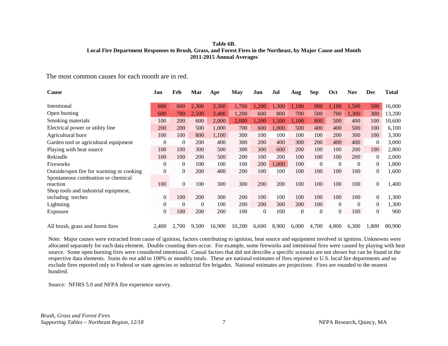#### **Table 6B. Local Fire Department Responses to Brush, Grass, and Forest Fires in the Northeast, by Major Cause and Month 2011-2015 Annual Averages**

The most common causes for each month are in red.

| Cause                                    | Jan            | Feb      | Mar      | Apr    | May    | Jun        | Jul        | Aug      | <b>Sep</b> | Oct      | <b>Nov</b> | Dec              | Total  |
|------------------------------------------|----------------|----------|----------|--------|--------|------------|------------|----------|------------|----------|------------|------------------|--------|
| Intentional                              | 600            | 600      | 2,300    | 3,300  | 1,700  | ,200       | 1,300      | 1,100    | 900        | 1,100    | 1,500      | 500              | 16,000 |
| Open burning                             | 600            | 700      | 2,500    | 3,400  | 1,200  | 600        | 800        | 700      | 500        | 700      | 1,300      | 300              | 13,200 |
| Smoking materials                        | 100            | 200      | 600      | 2,000  | 2,000  | 1,200      | 1,500      | 1,100    | 800        | 500      | 400        | 100              | 10,600 |
| Electrical power or utility line         | 200            | 200      | 500      | 1,000  | 700    | 600        | 1,000      | 500      | 400        | 400      | 500        | 100              | 6,100  |
| Agricultural burn                        | 100            | 100      | 800      | 1,100  | 300    | 100        | 100        | 100      | 100        | 200      | 300        | 100              | 3,300  |
| Garden tool or agricultural equipment    | $\Omega$       | $\theta$ | 200      | 400    | 300    | <b>200</b> | 400        | 300      | 200        | 400      | 400        | $\theta$         | 3,000  |
| Playing with heat source                 | 100            | 100      | 300      | 500    | 300    | 300        | 600        | 200      | 100        | 100      | <b>200</b> | 100              | 2,800  |
| Rekindle                                 | 100            | 100      | 200      | 500    | 200    | 100        | <b>200</b> | 100      | 100        | 100      | 200        | $\overline{0}$   | 2,000  |
| Fireworks                                | $\theta$       | $\Omega$ | 100      | 100    | 100    | 200        | 1,000      | 100      | $\Omega$   | $\Omega$ | $\Omega$   | $\boldsymbol{0}$ | 1,800  |
| Outside/open fire for warming or cooking | $\mathbf{0}$   | 0        | 200      | 400    | 200    | 100        | 100        | 100      | 100        | 100      | 100        | $\mathbf{0}$     | 1,600  |
| Spontaneous combustion or chemical       |                |          |          |        |        |            |            |          |            |          |            |                  |        |
| reaction                                 | 100            | $\Omega$ | 100      | 300    | 300    | 200        | 200        | 100      | 100        | 100      | 100        | $\overline{0}$   | 1,400  |
| Shop tools and industrial equipment,     |                |          |          |        |        |            |            |          |            |          |            |                  |        |
| including torches                        | $\Omega$       | 100      | 200      | 300    | 200    | 100        | 100        | 100      | 100        | 100      | 100        | $\mathbf{0}$     | 1,300  |
| Lightning                                | $\Omega$       | $\theta$ | $\theta$ | 100    | 200    | <b>200</b> | 300        | 200      | 100        | $\Omega$ | $\left($   | $\boldsymbol{0}$ | 1,300  |
| Exposure                                 | $\overline{0}$ | 100      | 200      | 200    | 100    | $\Omega$   | 100        | $\theta$ | $\theta$   | $\Omega$ | 100        | $\theta$         | 900    |
|                                          |                |          |          |        |        |            |            |          |            |          |            |                  |        |
| All brush, grass and forest fires        | 2,400          | 2,700    | 9,500    | 16,900 | 10,200 | 6,600      | 8,900      | 6,000    | 4,700      | 4,800    | 6,300      | 1,800            | 80,900 |

Note: Major causes were extracted from cause of ignition, factors contributing to ignition, heat source and equipment involved in ignition. Unknowns were allocated separately for each data element. Double counting does occur. For example, some fireworks and intentional fires were caused by playing with heat source. Some open burning fires were considered intentional. Causal factors that did not describe a specific scenario are not shown but can be found in the respective data elements. Sums do *not* add to 100% or monthly totals. These are national estimates of fires reported to U.S. local fire departments and so exclude fires reported only to Federal or state agencies or industrial fire brigades. National estimates are projections. Fires are rounded to the nearest hundred.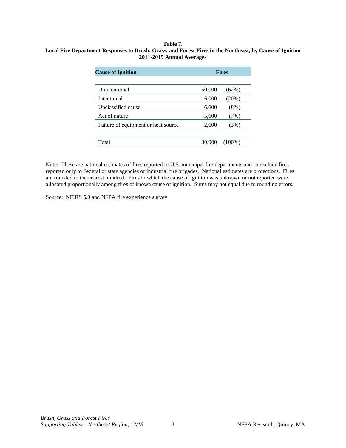#### <span id="page-8-0"></span>**Table 7. Local Fire Department Responses to Brush, Grass, and Forest Fires in the Northeast, by Cause of Ignition 2011-2015 Annual Averages**

| <b>Cause of Ignition</b>            | <b>Fires</b> |           |  |  |
|-------------------------------------|--------------|-----------|--|--|
|                                     |              |           |  |  |
| Unintentional                       | 50,000       | $(62\%)$  |  |  |
| Intentional                         | 16,000       | $(20\%)$  |  |  |
| Unclassified cause                  | 6,600        | $(8\%)$   |  |  |
| Act of nature                       | 5,600        | (7%)      |  |  |
| Failure of equipment or heat source | 2,600        | (3%)      |  |  |
|                                     |              |           |  |  |
| Total                               | 80,900       | $(100\%)$ |  |  |

Note: These are national estimates of fires reported to U.S. municipal fire departments and so exclude fires reported only to Federal or state agencies or industrial fire brigades. National estimates are projections. Fires are rounded to the nearest hundred. Fires in which the cause of ignition was unknown or not reported were allocated proportionally among fires of known cause of ignition. Sums may not equal due to rounding errors.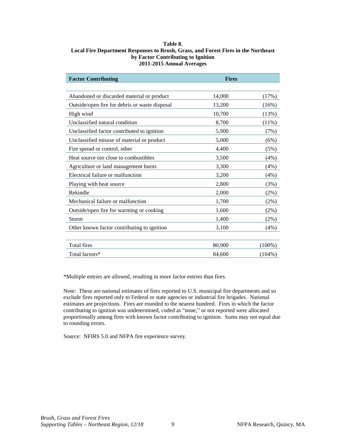#### <span id="page-9-0"></span>**Table 8. Local Fire Department Responses to Brush, Grass, and Forest Fires in the Northeast by Factor Contributing to Ignition 2011-2015 Annual Averages**

| <b>Factor Contributing</b>                     | <b>Fires</b> |           |
|------------------------------------------------|--------------|-----------|
|                                                |              |           |
| Abandoned or discarded material or product     | 14,000       | (17%)     |
| Outside/open fire for debris or waste disposal | 13,200       | (16%)     |
| High wind                                      | 10,700       | (13%)     |
| Unclassified natural condition                 | 8,700        | $(11\%)$  |
| Unclassified factor contributed to ignition    | 5,900        | (7%)      |
| Unclassified misuse of material or product     | 5,000        | (6%)      |
| Fire spread or control, other                  | 4,400        | (5%)      |
| Heat source too close to combustibles          | 3,500        | (4%)      |
| Agriculture or land management burns           | 3,300        | (4%)      |
| Electrical failure or malfunction              | 3,200        | (4%)      |
| Playing with heat source                       | 2,800        | (3%)      |
| Rekindle                                       | 2,000        | $(2\%)$   |
| Mechanical failure or malfunction              | 1,700        | (2%)      |
| Outside/open fire for warming or cooking       | 1,600        | (2%)      |
| Storm                                          | 1,400        | $(2\%)$   |
| Other known factor contributing to ignition    | 3,100        | (4%)      |
|                                                |              |           |
| <b>Total fires</b>                             | 80,900       | $(100\%)$ |
| Total factors*                                 | 84,600       | $(104\%)$ |

\*Multiple entries are allowed, resulting in more factor entries than fires.

Note: These are national estimates of fires reported to U.S. municipal fire departments and so exclude fires reported only to Federal or state agencies or industrial fire brigades. National estimates are projections. Fires are rounded to the nearest hundred. Fires in which the factor contributing to ignition was undetermined, coded as "none," or not reported were allocated proportionally among fires with known factor contributing to ignition. Sums may not equal due to rounding errors.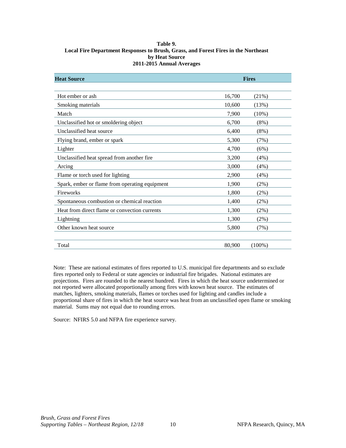#### <span id="page-10-0"></span>**Table 9. Local Fire Department Responses to Brush, Grass, and Forest Fires in the Northeast by Heat Source 2011-2015 Annual Averages**

| <b>Heat Source</b>                             | <b>Fires</b> |           |  |  |
|------------------------------------------------|--------------|-----------|--|--|
|                                                |              |           |  |  |
| Hot ember or ash                               | 16,700       | (21%)     |  |  |
| Smoking materials                              | 10,600       | (13%)     |  |  |
| Match                                          | 7,900        | (10%)     |  |  |
| Unclassified hot or smoldering object          | 6,700        | $(8\%)$   |  |  |
| Unclassified heat source                       | 6,400        | (8%)      |  |  |
| Flying brand, ember or spark                   | 5,300        | (7%)      |  |  |
| Lighter                                        | 4,700        | (6%)      |  |  |
| Unclassified heat spread from another fire     | 3,200        | (4%)      |  |  |
| Arcing                                         | 3,000        | (4%)      |  |  |
| Flame or torch used for lighting               | 2,900        | (4%)      |  |  |
| Spark, ember or flame from operating equipment | 1,900        | (2%)      |  |  |
| Fireworks                                      | 1,800        | (2%)      |  |  |
| Spontaneous combustion or chemical reaction    | 1,400        | (2%)      |  |  |
| Heat from direct flame or convection currents  | 1,300        | (2%)      |  |  |
| Lightning                                      | 1,300        | (2%)      |  |  |
| Other known heat source                        | 5,800        | (7%)      |  |  |
|                                                |              |           |  |  |
| Total                                          | 80,900       | $(100\%)$ |  |  |

Note: These are national estimates of fires reported to U.S. municipal fire departments and so exclude fires reported only to Federal or state agencies or industrial fire brigades. National estimates are projections. Fires are rounded to the nearest hundred. Fires in which the heat source undetermined or not reported were allocated proportionally among fires with known heat source. The estimates of matches, lighters, smoking materials, flames or torches used for lighting and candles include a proportional share of fires in which the heat source was heat from an unclassified open flame or smoking material. Sums may not equal due to rounding errors.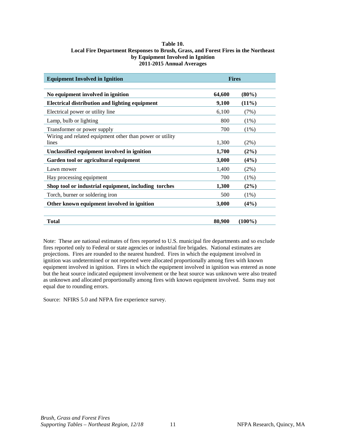#### <span id="page-11-0"></span>**Table 10. Local Fire Department Responses to Brush, Grass, and Forest Fires in the Northeast by Equipment Involved in Ignition 2011-2015 Annual Averages**

| <b>Equipment Involved in Ignition</b>                             | <b>Fires</b> |           |  |  |
|-------------------------------------------------------------------|--------------|-----------|--|--|
|                                                                   |              |           |  |  |
| No equipment involved in ignition                                 | 64,600       | $(80\%)$  |  |  |
| <b>Electrical distribution and lighting equipment</b>             | 9,100        | $(11\%)$  |  |  |
| Electrical power or utility line                                  | 6,100        | (7%)      |  |  |
| Lamp, bulb or lighting                                            | 800          | $(1\%)$   |  |  |
| Transformer or power supply                                       | 700          | $(1\%)$   |  |  |
| Wiring and related equipment other than power or utility<br>lines | 1,300        | $(2\%)$   |  |  |
| Unclassified equipment involved in ignition                       | 1,700        | $(2\%)$   |  |  |
| Garden tool or agricultural equipment                             | 3,000        | $(4\%)$   |  |  |
| Lawn mower                                                        | 1,400        | $(2\%)$   |  |  |
| Hay processing equipment                                          | 700          | $(1\%)$   |  |  |
| Shop tool or industrial equipment, including torches              | 1,300        | $(2\%)$   |  |  |
| Torch, burner or soldering iron                                   | 500          | (1%)      |  |  |
| Other known equipment involved in ignition                        | 3,000        | $(4\%)$   |  |  |
| <b>Total</b>                                                      | 80,900       | $(100\%)$ |  |  |

Note: These are national estimates of fires reported to U.S. municipal fire departments and so exclude fires reported only to Federal or state agencies or industrial fire brigades. National estimates are projections. Fires are rounded to the nearest hundred. Fires in which the equipment involved in ignition was undetermined or not reported were allocated proportionally among fires with known equipment involved in ignition. Fires in which the equipment involved in ignition was entered as none but the heat source indicated equipment involvement or the heat source was unknown were also treated as unknown and allocated proportionally among fires with known equipment involved. Sums may not equal due to rounding errors.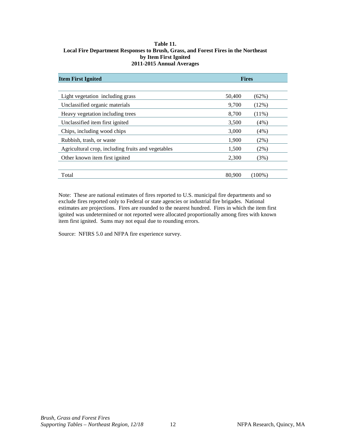#### <span id="page-12-0"></span>**Table 11. Local Fire Department Responses to Brush, Grass, and Forest Fires in the Northeast by Item First Ignited 2011-2015 Annual Averages**

| <b>Item First Ignited</b>                          | <b>Fires</b> |           |
|----------------------------------------------------|--------------|-----------|
|                                                    |              |           |
| Light vegetation including grass                   | 50,400       | $(62\%)$  |
| Unclassified organic materials                     | 9,700        | (12%)     |
| Heavy vegetation including trees                   | 8,700        | $(11\%)$  |
| Unclassified item first ignited                    | 3,500        | (4%)      |
| Chips, including wood chips                        | 3,000        | (4%)      |
| Rubbish, trash, or waste                           | 1,900        | $(2\%)$   |
| Agricultural crop, including fruits and vegetables | 1,500        | $(2\%)$   |
| Other known item first ignited                     | 2,300        | (3%)      |
|                                                    |              |           |
| Total                                              | 80,900       | $(100\%)$ |

Note: These are national estimates of fires reported to U.S. municipal fire departments and so exclude fires reported only to Federal or state agencies or industrial fire brigades. National estimates are projections. Fires are rounded to the nearest hundred. Fires in which the item first ignited was undetermined or not reported were allocated proportionally among fires with known item first ignited. Sums may not equal due to rounding errors.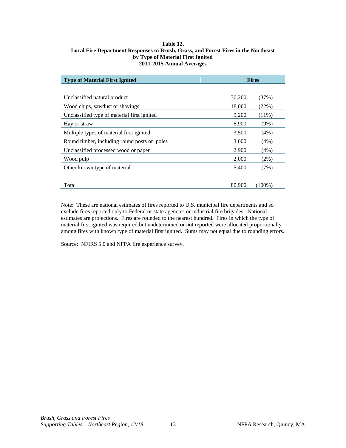#### <span id="page-13-0"></span>**Table 12. Local Fire Department Responses to Brush, Grass, and Forest Fires in the Northeast by Type of Material First Ignited 2011-2015 Annual Averages**

| <b>Type of Material First Ignited</b>        | <b>Fires</b> |           |
|----------------------------------------------|--------------|-----------|
|                                              |              |           |
| Unclassified natural product                 | 30,200       | (37%)     |
| Wood chips, sawdust or shavings              | 18,000       | (22%)     |
| Unclassified type of material first ignited  | 9,200        | $(11\%)$  |
| Hay or straw                                 | 6,900        | $(9\%)$   |
| Multiple types of material first ignited     | 3,500        | $(4\%)$   |
| Round timber, including round posts or poles | 3,000        | $(4\%)$   |
| Unclassified processed wood or paper         | 2,900        | $(4\%)$   |
| Wood pulp                                    | 2,000        | $(2\%)$   |
| Other known type of material                 | 5,400        | (7%)      |
|                                              |              |           |
| Total                                        | 80,900       | $(100\%)$ |

Note: These are national estimates of fires reported to U.S. municipal fire departments and so exclude fires reported only to Federal or state agencies or industrial fire brigades. National estimates are projections. Fires are rounded to the nearest hundred. Fires in which the type of material first ignited was required but undetermined or not reported were allocated proportionally among fires with known type of material first ignited. Sums may not equal due to rounding errors.